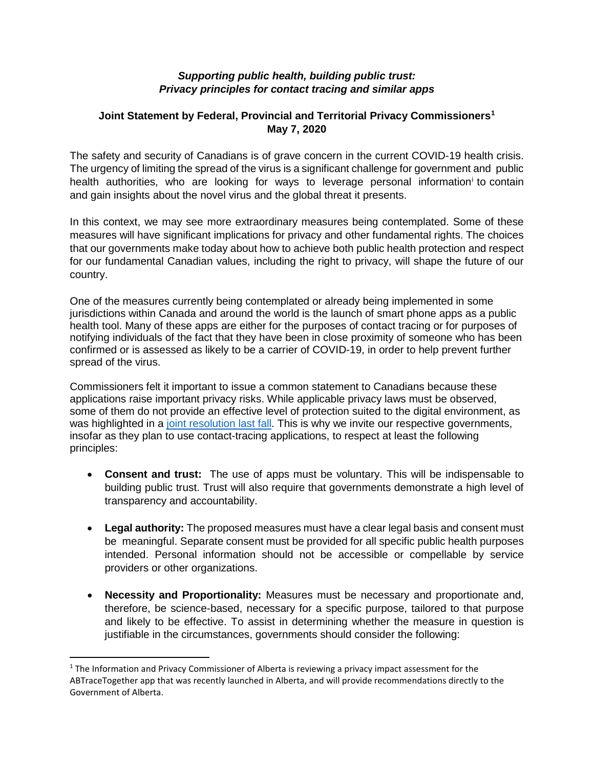## *Supporting public health, building public trust: Privacy principles for contact tracing and similar apps*

## **Joint Statement by Federal, Provincial and Territorial Privacy Commissioner[s1](#page-0-0) May 7, 2020**

The safety and security of Canadians is of grave concern in the current COVID-19 health crisis. The urgency of limiting the spread of the virus is a significant challenge for government and public health authorities, who are looking for ways to leverage personal information<sup>i</sup> to contain and gain insights about the novel virus and the global threat it presents.

In this context, we may see more extraordinary measures being contemplated. Some of these measures will have significant implications for privacy and other fundamental rights. The choices that our governments make today about how to achieve both public health protection and respect for our fundamental Canadian values, including the right to privacy, will shape the future of our country.

One of the measures currently being contemplated or already being implemented in some jurisdictions within Canada and around the world is the launch of smart phone apps as a public health tool. Many of these apps are either for the purposes of contact tracing or for purposes of notifying individuals of the fact that they have been in close proximity of someone who has been confirmed or is assessed as likely to be a carrier of COVID-19, in order to help prevent further spread of the virus.

Commissioners felt it important to issue a common statement to Canadians because these applications raise important privacy risks. While applicable privacy laws must be observed, some of them do not provide an effective level of protection suited to the digital environment, as was highlighted in a [joint resolution last fall.](https://www.priv.gc.ca/en/about-the-opc/what-we-do/provincial-and-territorial-collaboration/joint-resolutions-with-provinces-and-territories/res_191001/) This is why we invite our respective governments, insofar as they plan to use contact-tracing applications, to respect at least the following principles:

- **Consent and trust:** The use of apps must be voluntary. This will be indispensable to building public trust. Trust will also require that governments demonstrate a high level of transparency and accountability.
- **Legal authority:** The proposed measures must have a clear legal basis and consent must be meaningful. Separate consent must be provided for all specific public health purposes intended. Personal information should not be accessible or compellable by service providers or other organizations.
- **Necessity and Proportionality:** Measures must be necessary and proportionate and, therefore, be science-based, necessary for a specific purpose, tailored to that purpose and likely to be effective. To assist in determining whether the measure in question is justifiable in the circumstances, governments should consider the following:

<span id="page-0-0"></span> $1$  The Information and Privacy Commissioner of Alberta is reviewing a privacy impact assessment for the ABTraceTogether app that was recently launched in Alberta, and will provide recommendations directly to the Government of Alberta.